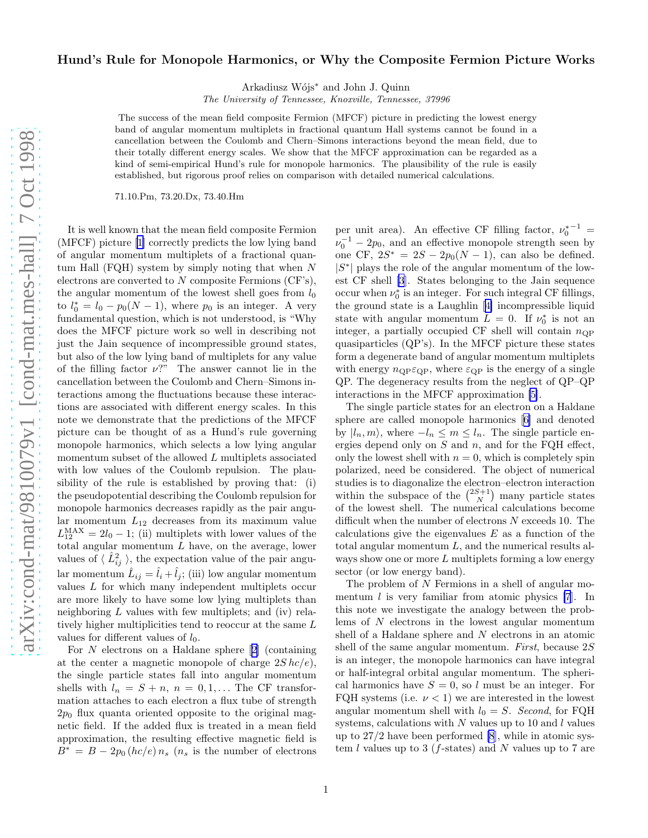## Hund's Rule for Monopole Harmonics, or Why the Composite Fermion Picture Works

Arkadiusz Wójs<sup>∗</sup> and John J. Quinn

The University of Tennessee, Knoxville, Tennessee, 37996

The success of the mean field composite Fermion (MFCF) picture in predicting the lowest energy band of angular momentum multiplets in fractional quantum Hall systems cannot be found in a cancellation between the Coulomb and Chern–Simons interactions beyond the mean field, due to their totally different energy scales. We show that the MFCF approximation can be regarded as a kind of semi-empirical Hund's rule for monopole harmonics. The plausibility of the rule is easily established, but rigorous proof relies on comparison with detailed numerical calculations.

71.10.Pm, 73.20.Dx, 73.40.Hm

It is well known that the mean field composite Fermion (MFCF) picture[[1\]](#page-3-0) correctly predicts the low lying band of angular momentum multiplets of a fractional quantum Hall  $(FQH)$  system by simply noting that when N electrons are converted to  $N$  composite Fermions (CF's), the angular momentum of the lowest shell goes from  $l_0$ to  $l_0^* = l_0 - p_0(N-1)$ , where  $p_0$  is an integer. A very fundamental question, which is not understood, is "Why does the MFCF picture work so well in describing not just the Jain sequence of incompressible ground states, but also of the low lying band of multiplets for any value of the filling factor  $\nu$ ?" The answer cannot lie in the cancellation between the Coulomb and Chern–Simons interactions among the fluctuations because these interactions are associated with different energy scales. In this note we demonstrate that the predictions of the MFCF picture can be thought of as a Hund's rule governing monopole harmonics, which selects a low lying angular momentum subset of the allowed L multiplets associated with low values of the Coulomb repulsion. The plausibility of the rule is established by proving that: (i) the pseudopotential describing the Coulomb repulsion for monopole harmonics decreases rapidly as the pair angular momentum  $L_{12}$  decreases from its maximum value  $L_{12}^{\text{MAX}} = 2l_0 - 1$ ; (ii) multiplets with lower values of the total angular momentum  $L$  have, on the average, lower values of  $\langle \hat{L}_{ij}^2 \rangle$ , the expectation value of the pair angular momentum  $\hat{L}_{ij} = \hat{l}_i + \hat{l}_j$ ; (iii) low angular momentum values  $L$  for which many independent multiplets occur are more likely to have some low lying multiplets than neighboring  $L$  values with few multiplets; and (iv) relatively higher multiplicities tend to reoccur at the same L values for different values of  $l_0$ .

For $N$  electrons on a Haldane sphere  $[2]$  $[2]$  (containing at the center a magnetic monopole of charge  $2S hc/e$ , the single particle states fall into angular momentum shells with  $l_n = S + n$ ,  $n = 0, 1, \dots$  The CF transformation attaches to each electron a flux tube of strength  $2p_0$  flux quanta oriented opposite to the original magnetic field. If the added flux is treated in a mean field approximation, the resulting effective magnetic field is  $B^* = B - 2p_0(hc/e) n_s$  ( $n_s$  is the number of electrons

per unit area). An effective CF filling factor,  $\nu_0^{*^{-1}} =$  $\nu_0^{-1} - 2p_0$ , and an effective monopole strength seen by one CF,  $2S^* = 2S - 2p_0(N-1)$ , can also be defined.  $|S^*|$  plays the role of the angular momentum of the lowest CF shell [\[3](#page-3-0)]. States belonging to the Jain sequence occur when  $\nu_0^*$  is an integer. For such integral CF fillings, the ground state is a Laughlin[[4\]](#page-3-0) incompressible liquid state with angular momentum  $L = 0$ . If  $\nu_0^*$  is not an integer, a partially occupied CF shell will contain  $n_{\text{QP}}$ quasiparticles (QP's). In the MFCF picture these states form a degenerate band of angular momentum multiplets with energy  $n_{\text{OP}}\varepsilon_{\text{QP}}$ , where  $\varepsilon_{\text{QP}}$  is the energy of a single QP. The degeneracy results from the neglect of QP–QP interactions in the MFCF approximation [\[5\]](#page-3-0).

The single particle states for an electron on a Haldane sphere are called monopole harmonics[[6\]](#page-3-0) and denoted by  $|l_n, m\rangle$ , where  $-l_n \leq m \leq l_n$ . The single particle energies depend only on  $S$  and  $n$ , and for the FQH effect, only the lowest shell with  $n = 0$ , which is completely spin polarized, need be considered. The object of numerical studies is to diagonalize the electron–electron interaction within the subspace of the  $\binom{2S+1}{N}$  many particle states of the lowest shell. The numerical calculations become difficult when the number of electrons N exceeds 10. The calculations give the eigenvalues  $E$  as a function of the total angular momentum  $L$ , and the numerical results always show one or more  $L$  multiplets forming a low energy sector (or low energy band).

The problem of N Fermions in a shell of angular momentum  $l$  is very familiar from atomic physics [\[7](#page-3-0)]. In this note we investigate the analogy between the problems of  $N$  electrons in the lowest angular momentum shell of a Haldane sphere and  $N$  electrons in an atomic shell of the same angular momentum. First, because 2S is an integer, the monopole harmonics can have integral or half-integral orbital angular momentum. The spherical harmonics have  $S = 0$ , so l must be an integer. For FQH systems (i.e.  $\nu < 1$ ) we are interested in the lowest angular momentum shell with  $l_0 = S$ . Second, for FQH systems, calculations with  $N$  values up to 10 and  $l$  values up to 27/2 have been performed [\[8](#page-3-0)], while in atomic system  $l$  values up to 3 ( $f$ -states) and  $N$  values up to 7 are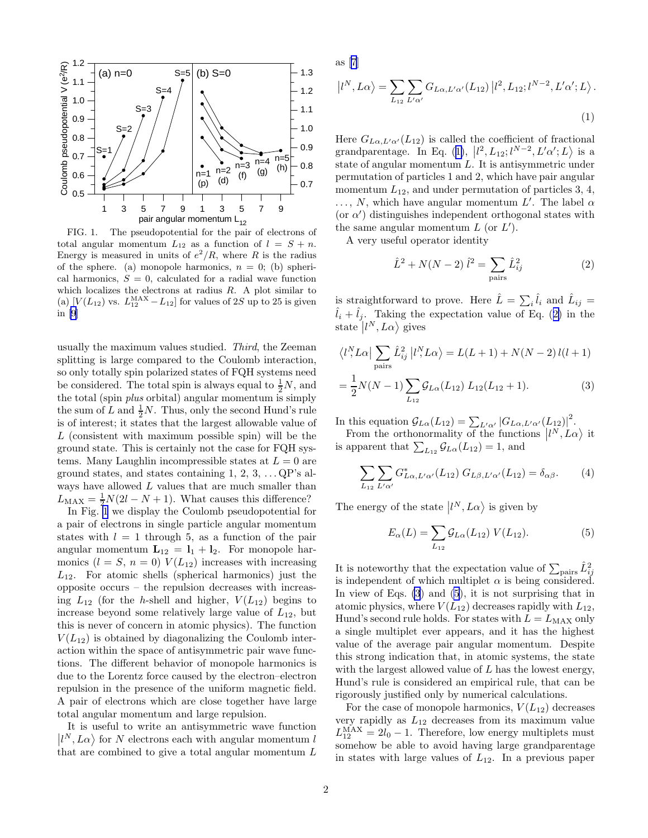<span id="page-1-0"></span>

FIG. 1. The pseudopotential for the pair of electrons of total angular momentum  $L_{12}$  as a function of  $l = S + n$ . Energy is measured in units of  $e^2/R$ , where R is the radius of the sphere. (a) monopole harmonics,  $n = 0$ ; (b) spherical harmonics,  $S = 0$ , calculated for a radial wave function which localizes the electrons at radius  $R$ . A plot similar to (a)  $[V(L_{12})$  vs.  $L_{12}^{MAX} - L_{12}]$  for values of 2S up to 25 is given in [\[9\]](#page-3-0)

usually the maximum values studied. Third, the Zeeman splitting is large compared to the Coulomb interaction, so only totally spin polarized states of FQH systems need be considered. The total spin is always equal to  $\frac{1}{2}N$ , and the total (spin plus orbital) angular momentum is simply the sum of L and  $\frac{1}{2}N$ . Thus, only the second Hund's rule is of interest; it states that the largest allowable value of  $L$  (consistent with maximum possible spin) will be the ground state. This is certainly not the case for FQH systems. Many Laughlin incompressible states at  $L = 0$  are ground states, and states containing  $1, 2, 3, \ldots$  QP's always have allowed  $L$  values that are much smaller than  $L_{\text{MAX}} = \frac{1}{2}N(2l - N + 1)$ . What causes this difference?

In Fig. 1 we display the Coulomb pseudopotential for a pair of electrons in single particle angular momentum states with  $l = 1$  through 5, as a function of the pair angular momentum  $\mathbf{L}_{12} = \mathbf{l}_1 + \mathbf{l}_2$ . For monopole harmonics  $(l = S, n = 0)$   $V(L_{12})$  increases with increasing  $L_{12}$ . For atomic shells (spherical harmonics) just the opposite occurs – the repulsion decreases with increasing  $L_{12}$  (for the h-shell and higher,  $V(L_{12})$  begins to increase beyond some relatively large value of  $L_{12}$ , but this is never of concern in atomic physics). The function  $V(L_{12})$  is obtained by diagonalizing the Coulomb interaction within the space of antisymmetric pair wave functions. The different behavior of monopole harmonics is due to the Lorentz force caused by the electron–electron repulsion in the presence of the uniform magnetic field. A pair of electrons which are close together have large total angular momentum and large repulsion.

It is useful to write an antisymmetric wave function  $\vert l^N, L\alpha \rangle$  for N electrons each with angular momentum l that are combined to give a total angular momentum  $L$  as [\[7](#page-3-0)]

$$
|l^N, L\alpha\rangle = \sum_{L_{12}} \sum_{L'\alpha'} G_{L\alpha, L'\alpha'}(L_{12}) |l^2, L_{12}; l^{N-2}, L'\alpha'; L\rangle.
$$
\n(1)

Here  $G_{L\alpha,L'\alpha'}(L_{12})$  is called the coefficient of fractional grandparentage. In Eq. (1),  $\left|l^2, L_{12}; l^{N-2}, L'\alpha'; L\right>$  is a state of angular momentum L. It is antisymmetric under permutation of particles 1 and 2, which have pair angular momentum  $L_{12}$ , and under permutation of particles 3, 4,  $\ldots$ , N, which have angular momentum  $L'$ . The label  $\alpha$ (or  $\alpha'$ ) distinguishes independent orthogonal states with the same angular momentum  $L$  (or  $L'$ ).

A very useful operator identity

$$
\hat{L}^2 + N(N-2)\,\hat{l}^2 = \sum_{\text{pairs}} \hat{L}_{ij}^2 \tag{2}
$$

is straightforward to prove. Here  $\hat{L} = \sum_i \hat{l}_i$  and  $\hat{L}_{ij} =$  $\hat{l}_i + \hat{l}_j$ . Taking the expectation value of Eq. (2) in the state  $|l^N,L\alpha\rangle$  gives

$$
\langle l^N L \alpha | \sum_{\text{pairs}} \hat{L}_{ij}^2 | l^N L \alpha \rangle = L(L+1) + N(N-2) l(l+1)
$$

$$
= \frac{1}{2} N(N-1) \sum_{L_{12}} \mathcal{G}_{L\alpha}(L_{12}) L_{12}(L_{12}+1).
$$
 (3)

In this equation  $\mathcal{G}_{L\alpha}(L_{12}) = \sum_{L'\alpha'} |G_{L\alpha,L'\alpha'}(L_{12})|^2$ .

From the orthonormality of the functions  $|l^N, L\alpha\rangle$  it is apparent that  $\sum_{L_{12}} \mathcal{G}_{L\alpha}(L_{12}) = 1$ , and

$$
\sum_{L_{12}} \sum_{L'\alpha'} G^*_{L\alpha,L'\alpha'}(L_{12}) G_{L\beta,L'\alpha'}(L_{12}) = \delta_{\alpha\beta}.
$$
 (4)

The energy of the state  $\vert l^N,L\alpha\rangle$  is given by

$$
E_{\alpha}(L) = \sum_{L_{12}} \mathcal{G}_{L\alpha}(L_{12}) \ V(L_{12}). \tag{5}
$$

It is noteworthy that the expectation value of  $\sum_{\text{pairs}} \hat{L}_{ij}^2$ is independent of which multiplet  $\alpha$  is being considered. In view of Eqs. (3) and (5), it is not surprising that in atomic physics, where  $V(L_{12})$  decreases rapidly with  $L_{12}$ , Hund's second rule holds. For states with  $L = L_{MAX}$  only a single multiplet ever appears, and it has the highest value of the average pair angular momentum. Despite this strong indication that, in atomic systems, the state with the largest allowed value of  $L$  has the lowest energy, Hund's rule is considered an empirical rule, that can be rigorously justified only by numerical calculations.

For the case of monopole harmonics,  $V(L_{12})$  decreases very rapidly as  $L_{12}$  decreases from its maximum value  $L_{12}^{\text{MAX}} = 2l_0 - 1$ . Therefore, low energy multiplets must somehow be able to avoid having large grandparentage in states with large values of  $L_{12}$ . In a previous paper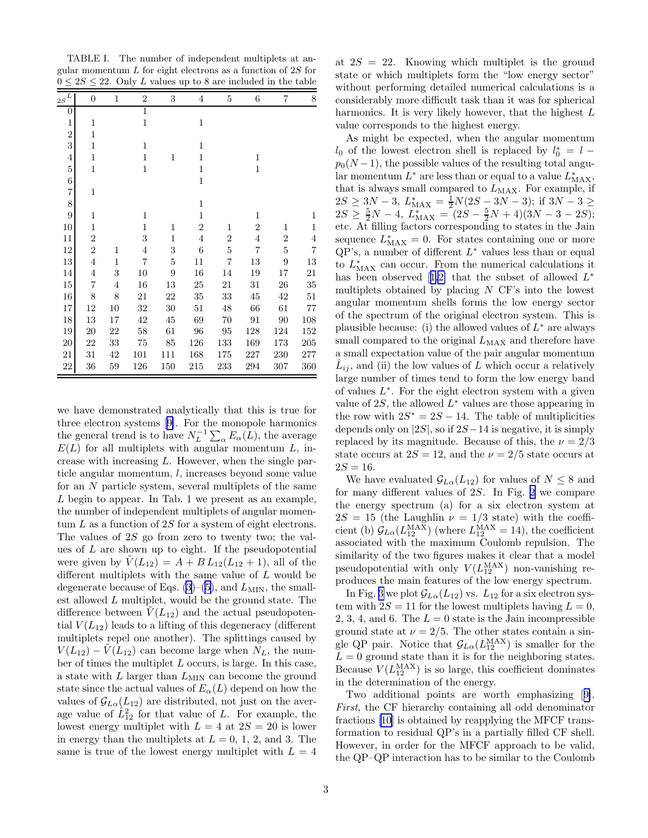TABLE I. The number of independent multiplets at angular momentum  $L$  for eight electrons as a function of  $2S$  for  $0 \leq 2S \leq 22$ . Only L values up to 8 are included in the table

| $\mathbf{2S}^L$ | $\overline{0}$ | $\mathbf{1}$ | $\overline{2}$ | 3            | $\overline{4}$ | $\bf 5$        | 6              | $\overline{7}$ | 8              |
|-----------------|----------------|--------------|----------------|--------------|----------------|----------------|----------------|----------------|----------------|
| 0               |                |              | $\mathbf{1}$   |              |                |                |                |                |                |
| $\mathbf{1}$    | $\mathbf{1}$   |              | $\mathbf{1}$   |              | 1              |                |                |                |                |
| $\overline{2}$  | $\mathbf{1}$   |              |                |              |                |                |                |                |                |
| 3               | $\mathbf{1}$   |              | $\mathbf{1}$   |              | $\mathbf{1}$   |                |                |                |                |
| 4               | $\mathbf{1}$   |              | $\mathbf{1}$   | 1            | $\mathbf{1}$   |                | 1              |                |                |
| $\overline{5}$  | $\mathbf{1}$   |              | $\mathbf{1}$   |              | $\mathbf{1}$   |                | $\mathbf{1}$   |                |                |
| 6               |                |              |                |              | $\mathbf{1}$   |                |                |                |                |
| $\overline{7}$  | $\mathbf{1}$   |              |                |              |                |                |                |                |                |
| 8               |                |              |                |              | $\mathbf{1}$   |                |                |                |                |
| 9               | $\mathbf{1}$   |              | $\mathbf{1}$   |              | 1              |                | 1              |                | 1              |
| 10              | $\mathbf{1}$   |              | $\mathbf{1}$   | 1            | $\overline{2}$ | 1              | $\overline{2}$ | 1              | 1              |
| 11              | $\overline{2}$ |              | 3              | $\mathbf{1}$ | $\overline{4}$ | $\overline{2}$ | $\overline{4}$ | $\overline{2}$ | $\overline{4}$ |
| 12              | $\overline{2}$ | 1            | $\overline{4}$ | 3            | 6              | $\overline{5}$ | $\overline{7}$ | 5              | $\overline{7}$ |
| 13              | $\overline{4}$ | $\mathbf{1}$ | $\overline{7}$ | $\bf 5$      | 11             | 7              | 13             | 9              | 13             |
| 14              | $\overline{4}$ | 3            | 10             | 9            | 16             | 14             | 19             | 17             | 21             |
| 15              | 7              | 4            | 16             | 13           | 25             | 21             | 31             | 26             | 35             |
| 16              | 8              | 8            | 21             | 22           | 35             | 33             | 45             | 42             | 51             |
| 17              | 12             | 10           | 32             | 30           | 51             | 48             | 66             | 61             | 77             |
| 18              | 13             | 17           | 42             | 45           | 69             | 70             | 91             | 90             | 108            |
| 19              | 20             | 22           | 58             | 61           | 96             | 95             | 128            | 124            | 152            |
| $20\,$          | 22             | 33           | 75             | 85           | 126            | 133            | 169            | 173            | 205            |
| 21              | 31             | 42           | 101            | 111          | 168            | 175            | 227            | 230            | 277            |
| 22              | 36             | 59           | 126            | 150          | 215            | 233            | 294            | 307            | 360            |

we have demonstrated analytically that this is true for three electron systems[[9\]](#page-3-0). For the monopole harmonics the general trend is to have  $N_L^{-1} \sum_{\alpha} E_{\alpha}(L)$ , the average  $E(L)$  for all multiplets with angular momentum L, increase with increasing L. However, when the single particle angular momentum, l, increases beyond some value for an  $N$  particle system, several multiplets of the same L begin to appear. In Tab. 1 we present as an example, the number of independent multiplets of angular momentum  $L$  as a function of  $2S$  for a system of eight electrons. The values of 2S go from zero to twenty two; the values of  $L$  are shown up to eight. If the pseudopotential were given by  $V(L_{12}) = A + B L_{12}(L_{12} + 1)$ , all of the different multiplets with the same value of L would be degenerate because of Eqs.  $(3)-(5)$  $(3)-(5)$ , and  $L_{MIN}$ , the smallest allowed L multiplet, would be the ground state. The difference between  $\tilde{V}(L_{12})$  and the actual pseudopotential  $V(L_{12})$  leads to a lifting of this degeneracy (different multiplets repel one another). The splittings caused by  $V(L_{12}) - V(L_{12})$  can become large when  $N_L$ , the number of times the multiplet  $L$  occurs, is large. In this case, a state with  $L$  larger than  $L_{\text{MIN}}$  can become the ground state since the actual values of  $E_{\alpha}(L)$  depend on how the values of  $\mathcal{G}_{L\alpha}(L_{12})$  are distributed, not just on the average value of  $\hat{L}_{12}^2$  for that value of L. For example, the lowest energy multiplet with  $L = 4$  at  $2S = 20$  is lower in energy than the multiplets at  $L = 0, 1, 2,$  and 3. The same is true of the lowest energy multiplet with  $L = 4$ 

at  $2S = 22$ . Knowing which multiplet is the ground state or which multiplets form the "low energy sector" without performing detailed numerical calculations is a considerably more difficult task than it was for spherical harmonics. It is very likely however, that the highest L value corresponds to the highest energy.

As might be expected, when the angular momentum  $l_0$  of the lowest electron shell is replaced by  $l_0^* = l$  $p_0(N-1)$ , the possible values of the resulting total angular momentum  $L^*$  are less than or equal to a value  $L^*_{\text{MAX}}$ , that is always small compared to  $L_{MAX}$ . For example, if  $2S \ge 3N-3$ ,  $L_{MAX}^* = \frac{1}{2}N(2S-3N-3)$ ; if  $3N-3 \ge$  $2S \geq \frac{5}{2}N-4$ ,  $L_{MAX}^{*2} = (2S - \frac{5}{2}N + 4)(3N - 3 - 2S);$ etc. At filling factors corresponding to states in the Jain sequence  $L_{MAX}^* = 0$ . For states containing one or more  $QP$ 's, a number of different  $L^*$  values less than or equal to  $L_{\text{MAX}}^*$  can occur. From the numerical calculations it hasbeen observed [[1,2\]](#page-3-0) that the subset of allowed  $L^*$ multiplets obtained by placing  $N$  CF's into the lowest angular momentum shells forms the low energy sector of the spectrum of the original electron system. This is plausible because: (i) the allowed values of  $L^*$  are always small compared to the original  $L_{MAX}$  and therefore have a small expectation value of the pair angular momentum  $\hat{L}_{ij}$ , and (ii) the low values of L which occur a relatively large number of times tend to form the low energy band of values  $L^*$ . For the eight electron system with a given value of 2S, the allowed  $L^*$  values are those appearing in the row with  $2S^* = 2S - 14$ . The table of multiplicities depends only on  $|2S|$ , so if  $2S-14$  is negative, it is simply replaced by its magnitude. Because of this, the  $\nu = 2/3$ state occurs at  $2S = 12$ , and the  $\nu = 2/5$  state occurs at  $2S = 16$ .

We have evaluated  $\mathcal{G}_{L\alpha}(L_{12})$  for values of  $N \leq 8$  and for many different values of 2S. In Fig. [2](#page-3-0) we compare the energy spectrum (a) for a six electron system at  $2S = 15$  (the Laughlin  $\nu = 1/3$  state) with the coefficient (b)  $\mathcal{G}_{L\alpha}(L_{12}^{\text{MAX}})$  (where  $L_{12}^{\text{MAX}} = 14$ ), the coefficient associated with the maximum Coulomb repulsion. The similarity of the two figures makes it clear that a model pseudopotential with only  $V(L_{12}^{MAX})$  non-vanishing reproduces the main features of the low energy spectrum.

In Fig. [3](#page-3-0) we plot  $\mathcal{G}_{L\alpha}(L_{12})$  vs.  $L_{12}$  for a six electron system with  $2S = 11$  for the lowest multiplets having  $L = 0$ , 2, 3, 4, and 6. The  $L = 0$  state is the Jain incompressible ground state at  $\nu = 2/5$ . The other states contain a single QP pair. Notice that  $\mathcal{G}_{L\alpha}(L_{12}^{MAX})$  is smaller for the  $L = 0$  ground state than it is for the neighboring states. Because  $V(L_{12}^{\text{MAX}})$  is so large, this coefficient dominates in the determination of the energy.

Two additional points are worth emphasizing[[9\]](#page-3-0). First, the CF hierarchy containing all odd denominator fractions [\[10](#page-3-0)] is obtained by reapplying the MFCF transformation to residual QP's in a partially filled CF shell. However, in order for the MFCF approach to be valid, the QP–QP interaction has to be similar to the Coulomb